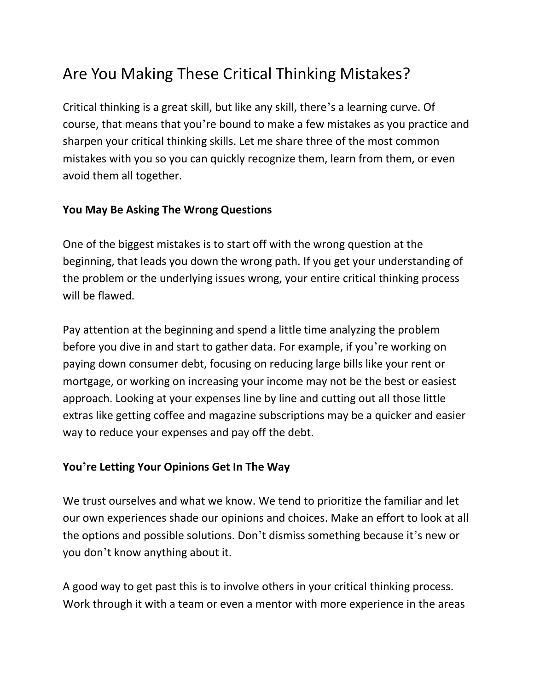## Are You Making These Critical Thinking Mistakes?

Critical thinking is a great skill, but like any skill, there's a learning curve. Of course, that means that you're bound to make a few mistakes as you practice and sharpen your critical thinking skills. Let me share three of the most common mistakes with you so you can quickly recognize them, learn from them, or even avoid them all together.

## **You May Be Asking The Wrong Questions**

One of the biggest mistakes is to start off with the wrong question at the beginning, that leads you down the wrong path. If you get your understanding of the problem or the underlying issues wrong, your entire critical thinking process will be flawed.

Pay attention at the beginning and spend a little time analyzing the problem before you dive in and start to gather data. For example, if you're working on paying down consumer debt, focusing on reducing large bills like your rent or mortgage, or working on increasing your income may not be the best or easiest approach. Looking at your expenses line by line and cutting out all those little extras like getting coffee and magazine subscriptions may be a quicker and easier way to reduce your expenses and pay off the debt.

## **You're Letting Your Opinions Get In The Way**

We trust ourselves and what we know. We tend to prioritize the familiar and let our own experiences shade our opinions and choices. Make an effort to look at all the options and possible solutions. Don't dismiss something because it's new or you don't know anything about it.

A good way to get past this is to involve others in your critical thinking process. Work through it with a team or even a mentor with more experience in the areas